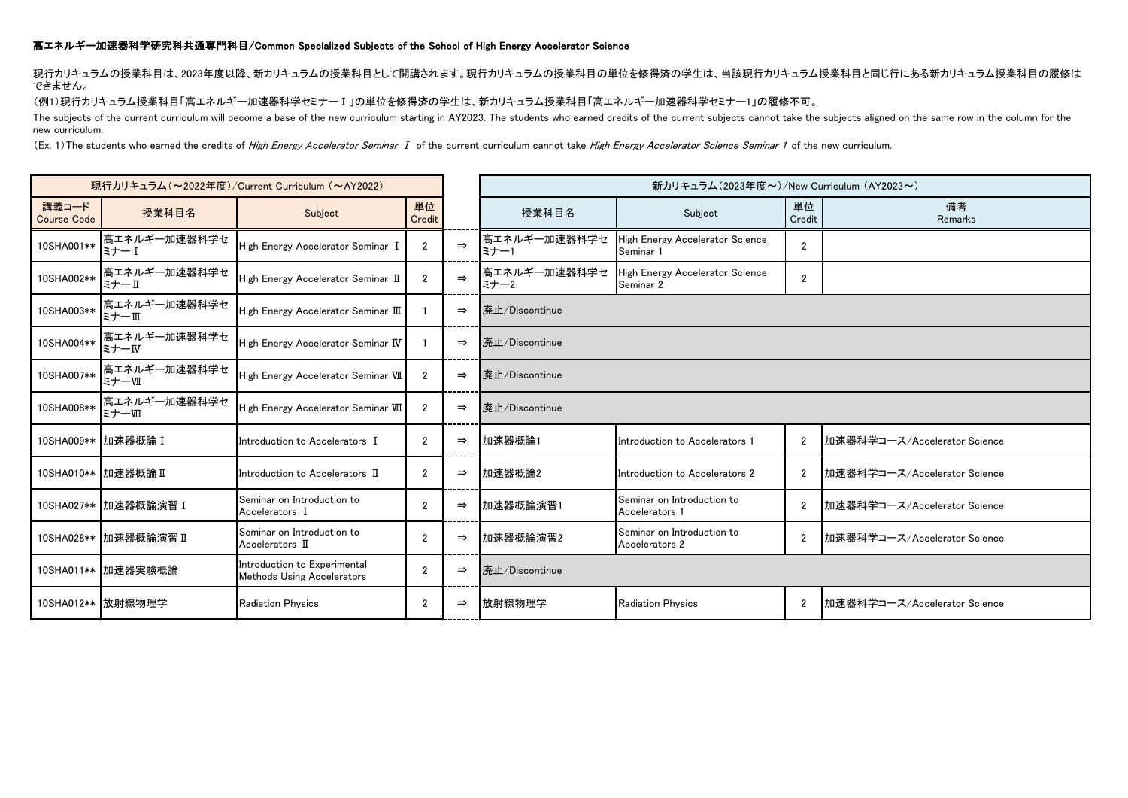## 高エネルギー加速器科学研究科共通専門科目/Common Specialized Subjects of the School of High Energy Accelerator Science

現行カリキュラムの授業科目は、2023年度以降、新カリキュラムの授業科目として開講されます。現行カリキュラムの授業科目の単位を修得済の学生は、当該現行カリキュラム授業科目と同じ行にある新カリキュラム授業科目の履修は できません。

(例1)現行カリキュラム授業科目「高エネルギー加速器科学セミナーⅠ」の単位を修得済の学生は、新カリキュラム授業科目「高エネルギー加速器科学セミナー1」の履修不可。

The subjects of the current curriculum will become a base of the new curriculum starting in AY2023. The students who earned credits of the current subjects cannot take the subjects aligned on the same row in the column for new curriculum.

(Ex. 1)The students who earned the credits of High Energy Accelerator Seminar I of the current curriculum cannot take High Energy Accelerator Science Seminar 1 of the new curriculum.

| 現行カリキュラム (~2022年度)/Current Curriculum (~AY2022) |                        |                                                                   |                |               | 新カリキュラム(2023年度~)/New Curriculum (AY2023~) |                                              |                |                              |  |  |
|-------------------------------------------------|------------------------|-------------------------------------------------------------------|----------------|---------------|-------------------------------------------|----------------------------------------------|----------------|------------------------------|--|--|
| 講義コード<br><b>Course Code</b>                     | 授業科目名                  | Subject                                                           | 単位<br>Credit   |               | 授業科目名                                     | Subject                                      | 単位<br>Credit   | 備考<br>Remarks                |  |  |
| 10SHA001**                                      | 高エネルギー加速器科学セ<br>ミナー 1  | High Energy Accelerator Seminar I                                 | $\overline{2}$ | $\Rightarrow$ | 高エネルギー加速器科学セ<br>ミナー1                      | High Energy Accelerator Science<br>Seminar 1 | $\overline{2}$ |                              |  |  |
| 10SHA002**                                      | 高エネルギー加速器科学セ<br>ミナーⅡ   | High Energy Accelerator Seminar II                                | $\overline{2}$ | $\Rightarrow$ | 高エネルギー加速器科学セ<br>ミナー2                      | High Energy Accelerator Science<br>Seminar 2 | $\overline{2}$ |                              |  |  |
| 10SHA003**                                      | 高エネルギー加速器科学セ<br>ミナーⅢ   | High Energy Accelerator Seminar $\rm I\!I\!I$                     |                | $\Rightarrow$ | 廃止/Discontinue                            |                                              |                |                              |  |  |
| 10SHA004**                                      | 高エネルギー加速器科学セ<br>ミナーW   | High Energy Accelerator Seminar IV                                |                | $\Rightarrow$ | 廃止/Discontinue                            |                                              |                |                              |  |  |
| 10SHA007**                                      | 高エネルギー加速器科学セ<br>ミナーⅦ   | High Energy Accelerator Seminar VII                               | $\overline{2}$ | $\Rightarrow$ | 廃止/Discontinue                            |                                              |                |                              |  |  |
| 10SHA008**                                      | 高エネルギー加速器科学セ<br>ミナー畑   | High Energy Accelerator Seminar VIII                              | $\overline{2}$ | $\Rightarrow$ | 廃止/Discontinue                            |                                              |                |                              |  |  |
|                                                 | 10SHA009**  加速器概論 I    | Introduction to Accelerators I                                    | $\overline{2}$ | $\Rightarrow$ | 加速器概論1                                    | Introduction to Accelerators 1               | $\overline{2}$ | 加速器科学コース/Accelerator Science |  |  |
|                                                 | 10SHA010 ** 加速器概論 II   | Introduction to Accelerators $\:$ $\hbox{\rm I\hspace{-1.2mm}I}$  | $\overline{2}$ | $\Rightarrow$ | 加速器概論2                                    | Introduction to Accelerators 2               | $\overline{2}$ | 加速器科学コース/Accelerator Science |  |  |
|                                                 | 10SHA027**   加速器概論演習 I | Seminar on Introduction to<br>Accelerators I                      | $\overline{2}$ | $\Rightarrow$ | 加速器概論演習1                                  | Seminar on Introduction to<br>Accelerators 1 | $\overline{2}$ | 加速器科学コース/Accelerator Science |  |  |
|                                                 | 10SHA028**  加速器概論演習 II | Seminar on Introduction to<br>Accelerators II                     | $\overline{2}$ | $\Rightarrow$ | 加速器概論演習2                                  | Seminar on Introduction to<br>Accelerators 2 | $\overline{2}$ | 加速器科学コース/Accelerator Science |  |  |
|                                                 | 10SHA011**  加速器実験概論    | Introduction to Experimental<br><b>Methods Using Accelerators</b> | $\overline{2}$ | $\Rightarrow$ | 廃止/Discontinue                            |                                              |                |                              |  |  |
|                                                 | 10SHA012**  放射線物理学     | <b>Radiation Physics</b>                                          | 2              | $\Rightarrow$ | 放射線物理学                                    | <b>Radiation Physics</b>                     | $\overline{2}$ | 加速器科学コース/Accelerator Science |  |  |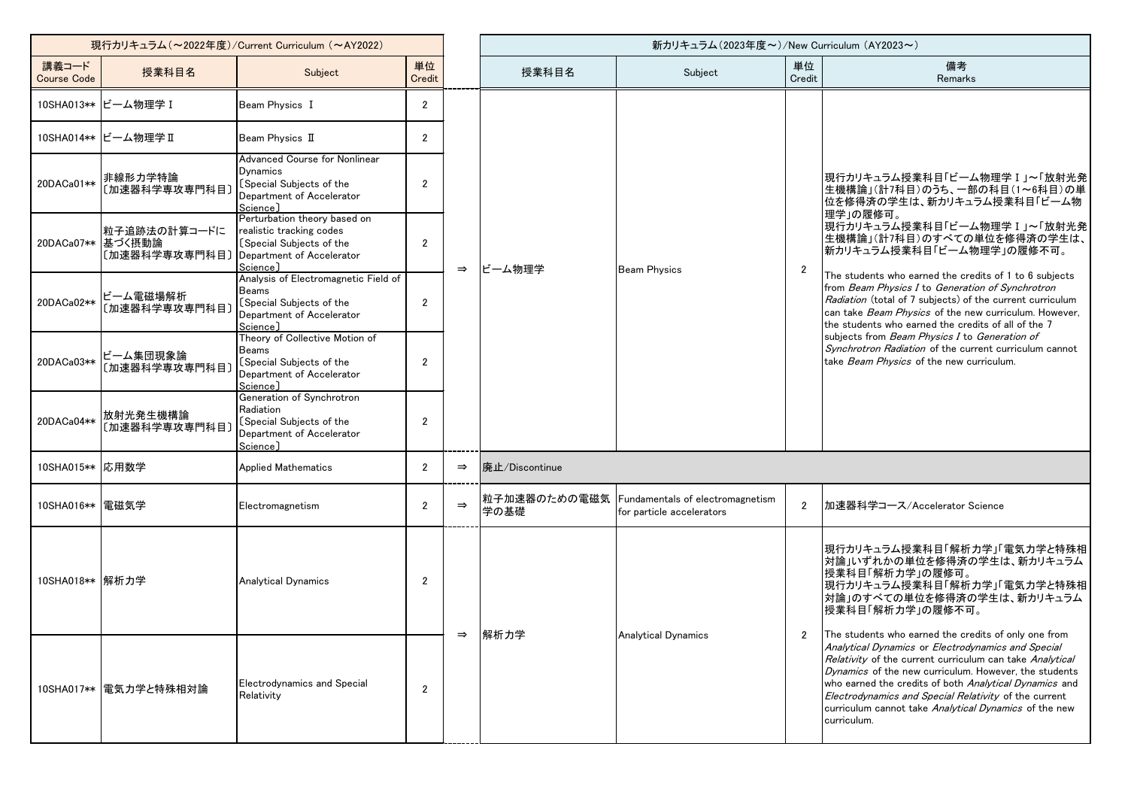| 現行カリキュラム (~2022年度)/Current Curriculum (~AY2022) |                                                    |                                                                                                                               |                       |               | 新カリキュラム(2023年度~)/New Curriculum (AY2023~) |                                                                            |                |                                                                                                                                                                                                                                                                                                                                                                                                                                                                                                                                                                   |
|-------------------------------------------------|----------------------------------------------------|-------------------------------------------------------------------------------------------------------------------------------|-----------------------|---------------|-------------------------------------------|----------------------------------------------------------------------------|----------------|-------------------------------------------------------------------------------------------------------------------------------------------------------------------------------------------------------------------------------------------------------------------------------------------------------------------------------------------------------------------------------------------------------------------------------------------------------------------------------------------------------------------------------------------------------------------|
| 講義コード<br><b>Course Code</b>                     | 授業科目名                                              | Subject                                                                                                                       | 単位<br>Credit          |               | 授業科目名                                     | Subject                                                                    | 単位<br>Credit   | 備考<br>Remarks                                                                                                                                                                                                                                                                                                                                                                                                                                                                                                                                                     |
|                                                 | 10SHA013** ビーム物理学 I                                | Beam Physics I                                                                                                                | $\mathbf{2}^{\prime}$ |               |                                           |                                                                            |                |                                                                                                                                                                                                                                                                                                                                                                                                                                                                                                                                                                   |
|                                                 | 10SHA014** ビーム物理学 II                               | Beam Physics II                                                                                                               | $\overline{2}$        |               |                                           |                                                                            |                |                                                                                                                                                                                                                                                                                                                                                                                                                                                                                                                                                                   |
| 20DACa01**                                      | 非線形力学特論<br>〔加速器科学専攻専門科目〕                           | <b>Advanced Course for Nonlinear</b><br>Dynamics<br>[Special Subjects of the<br>Department of Accelerator<br>Science]         | $\mathfrak{p}$        |               |                                           |                                                                            |                | 現行カリキュラム授業科目「ビーム物理学 I 」~「放射光発<br>生機構論」(計7科目)のうち、一部の科目(1~6科目)の単<br>位を修得済の学生は、新カリキュラム授業科目「ビーム物                                                                                                                                                                                                                                                                                                                                                                                                                                                                      |
|                                                 | 粒子追跡法の計算コードに<br>20DACa07** 基づく摂動論<br>〔加速器科学専攻専門科目〕 | Perturbation theory based on<br>realistic tracking codes<br>[Special Subjects of the<br>Department of Accelerator<br>Science] | $\overline{2}$        | $\Rightarrow$ | ビーム物理学                                    | <b>Beam Physics</b>                                                        | $\overline{2}$ | 理学」の履修可。<br> 現行カリキュラム授業科目「ビーム物理学 I 」~「放射光発 <br> 生機構論」(計7科目)のすべての単位を修得済の学生は、<br>おカリキュラム授業科目「ビーム物理学」の履修不可。<br>The students who earned the credits of 1 to 6 subjects<br>from Beam Physics I to Generation of Synchrotron<br>Radiation (total of 7 subjects) of the current curriculum<br>can take <i>Beam Physics</i> of the new curriculum. However,<br>the students who earned the credits of all of the 7<br>subjects from Beam Physics I to Generation of<br>Synchrotron Radiation of the current curriculum cannot<br>take Beam Physics of the new curriculum. |
| 20DACa02**                                      | ビーム電磁場解析<br>〔加速器科学専攻専門科目〕                          | Analysis of Electromagnetic Field of<br>Beams<br>[Special Subjects of the<br>Department of Accelerator<br>Science]            | $\overline{2}$        |               |                                           |                                                                            |                |                                                                                                                                                                                                                                                                                                                                                                                                                                                                                                                                                                   |
| 20DACa03**                                      | ビーム集団現象論<br>〔加速器科学専攻専門科目〕                          | Theory of Collective Motion of<br>Beams<br>[Special Subjects of the<br>Department of Accelerator<br>Science]                  | $\overline{2}$        |               |                                           |                                                                            |                |                                                                                                                                                                                                                                                                                                                                                                                                                                                                                                                                                                   |
| 20DACa04**                                      | 放射光発生機構論<br>〔加速器科学専攻専門科目〕                          | Generation of Synchrotron<br>Radiation<br>[Special Subjects of the<br>Department of Accelerator<br>Science]                   | $\overline{2}$        |               |                                           |                                                                            |                |                                                                                                                                                                                                                                                                                                                                                                                                                                                                                                                                                                   |
| 10SHA015** 応用数学                                 |                                                    | <b>Applied Mathematics</b>                                                                                                    | $\overline{2}$        | $\Rightarrow$ | 廃止/Discontinue                            |                                                                            |                |                                                                                                                                                                                                                                                                                                                                                                                                                                                                                                                                                                   |
| 10SHA016** 電磁気学                                 |                                                    | Electromagnetism                                                                                                              | $\overline{2}$        | $\Rightarrow$ | 学の基礎                                      | 粒子加速器のための電磁気 Fundamentals of electromagnetism<br>for particle accelerators | $\overline{2}$ | 加速器科学コース/Accelerator Science                                                                                                                                                                                                                                                                                                                                                                                                                                                                                                                                      |
| 10SHA018** 解析力学                                 |                                                    | <b>Analytical Dynamics</b>                                                                                                    | $\overline{2}$        | $\Rightarrow$ | 解析力学                                      |                                                                            | $\overline{2}$ | 現行カリキュラム授業科目「解析力学」「電気力学と特殊相<br>対論」いずれかの単位を修得済の学生は、新カリキュラム<br> 授業科目「解析カ字」の履修可。<br> 現行カリキュラム授業科目「解析力学」「電気力学と特殊相 <br>対論」のすべての単位を修得済の学生は、新カリキュラム<br> 授業科目「解析力学」の履修不可。                                                                                                                                                                                                                                                                                                                                                                                                 |
|                                                 | 10SHA017**   電気力学と特殊相対論                            | <b>Electrodynamics and Special</b><br>Relativity                                                                              | $\overline{2}$        |               |                                           | <b>Analytical Dynamics</b>                                                 |                | The students who earned the credits of only one from<br>Analytical Dynamics or Electrodynamics and Special<br>Relativity of the current curriculum can take Analytical<br>Dynamics of the new curriculum. However, the students<br>who earned the credits of both Analytical Dynamics and<br>Electrodynamics and Special Relativity of the current<br>curriculum cannot take Analytical Dynamics of the new<br>curriculum.                                                                                                                                        |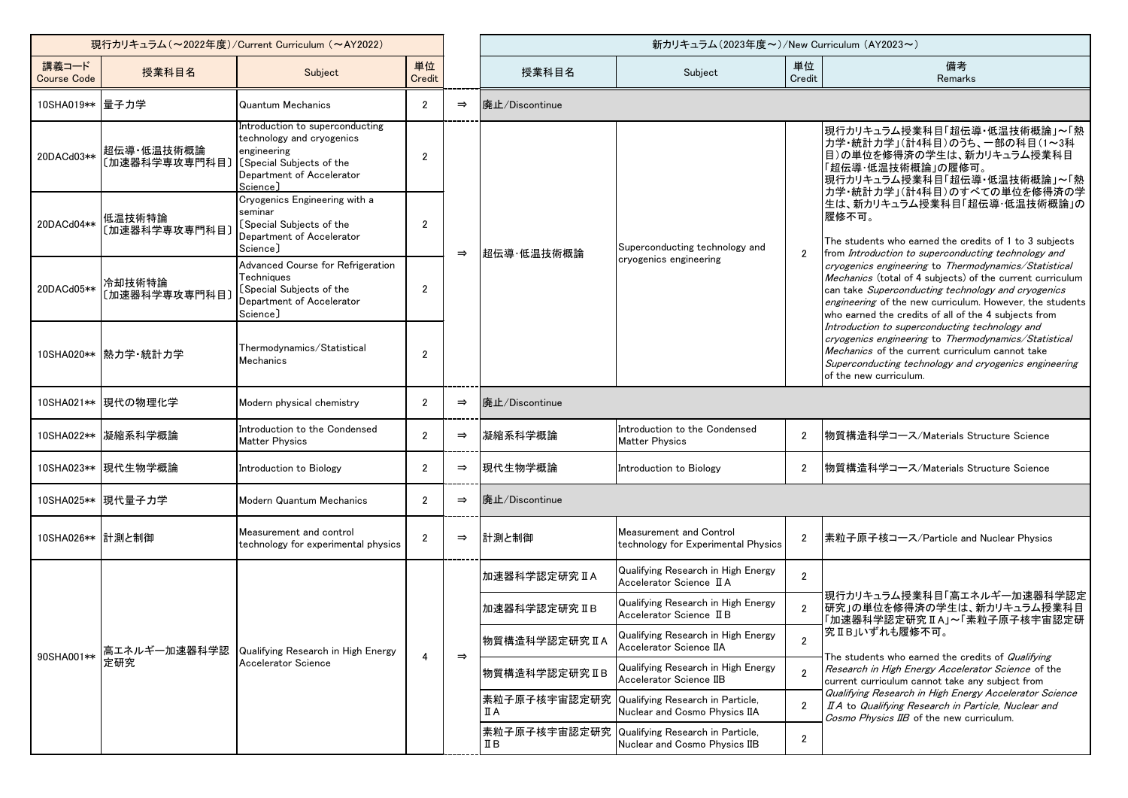| 現行カリキュラム (~2022年度)/Current Curriculum (~AY2022) |                             |                                                                                                                                                  |                |               | 新カリキュラム(2023年度~)/New Curriculum (AY2023~) |                                                                                |                |                                                                                                                                                                                                                                                                                                                                                                                                                                                                                                                                                                                                                                                                                                                                                                                                                                                                                        |
|-------------------------------------------------|-----------------------------|--------------------------------------------------------------------------------------------------------------------------------------------------|----------------|---------------|-------------------------------------------|--------------------------------------------------------------------------------|----------------|----------------------------------------------------------------------------------------------------------------------------------------------------------------------------------------------------------------------------------------------------------------------------------------------------------------------------------------------------------------------------------------------------------------------------------------------------------------------------------------------------------------------------------------------------------------------------------------------------------------------------------------------------------------------------------------------------------------------------------------------------------------------------------------------------------------------------------------------------------------------------------------|
| 講義コード<br><b>Course Code</b>                     | 授業科目名                       | Subject                                                                                                                                          | 単位<br>Credit   |               | 授業科目名                                     | Subject                                                                        | 単位<br>Credit   | 備考<br>Remarks                                                                                                                                                                                                                                                                                                                                                                                                                                                                                                                                                                                                                                                                                                                                                                                                                                                                          |
| 10SHA019** 量子力学                                 |                             | Quantum Mechanics                                                                                                                                | $\overline{2}$ | $\Rightarrow$ | 廃止/Discontinue                            |                                                                                |                |                                                                                                                                                                                                                                                                                                                                                                                                                                                                                                                                                                                                                                                                                                                                                                                                                                                                                        |
| 20DACd03**                                      | 超伝導・低温技術概論<br>〔加速器科学専攻専門科目〕 | Introduction to superconducting<br>technology and cryogenics<br>engineering<br>[Special Subjects of the<br>Department of Accelerator<br>Science] | 2              |               | 超伝導·低温技術概論                                | Superconducting technology and<br>cryogenics engineering                       | $\overline{2}$ | 現行カリキュラム授業科目「超伝導・低温技術概論」~「熱<br>カ学・統計力学」(計4科目)のうち、一部の科目(1~3科<br>目)の単位を修得済の学生は、新カリキュラム授業科目<br>「超伝導・低温技術概論」の履修可。<br> 現行カリキュラム授業科目「超伝導・低温技術概論」~「熱<br> 力学・統計力学」(計4科目)のすべての単位を修得済の学<br>生は、新カリキュラム授業科目「超伝導・低温技術概論」の<br> 履修不可。<br>The students who earned the credits of 1 to 3 subjects<br>from Introduction to superconducting technology and<br>cryogenics engineering to Thermodynamics/Statistical<br>Mechanics (total of 4 subjects) of the current curriculum<br>can take Superconducting technology and cryogenics<br>engineering of the new curriculum. However, the students<br>who earned the credits of all of the 4 subjects from<br>Introduction to superconducting technology and<br>cryogenics engineering to Thermodynamics/Statistical<br>Mechanics of the current curriculum cannot take<br>Superconducting technology and cryogenics engineering<br>of the new curriculum. |
| 20DACd04**                                      | 低温技術特論<br>〔加速器科学専攻専門科目〕     | Cryogenics Engineering with a<br>seminar<br>[Special Subjects of the<br>Department of Accelerator<br>Science]                                    | $\overline{2}$ | $\Rightarrow$ |                                           |                                                                                |                |                                                                                                                                                                                                                                                                                                                                                                                                                                                                                                                                                                                                                                                                                                                                                                                                                                                                                        |
| 20DACd05**                                      | 冷却技術特論<br>〔加速器科学専攻専門科目〕     | Advanced Course for Refrigeration<br>Techniques<br>[Special Subjects of the<br>Department of Accelerator<br>Science]                             | $\overline{2}$ |               |                                           |                                                                                |                |                                                                                                                                                                                                                                                                                                                                                                                                                                                                                                                                                                                                                                                                                                                                                                                                                                                                                        |
|                                                 | 10SHA020** 熱力学·統計力学         | Thermodynamics/Statistical<br><b>Mechanics</b>                                                                                                   | $\overline{2}$ |               |                                           |                                                                                |                |                                                                                                                                                                                                                                                                                                                                                                                                                                                                                                                                                                                                                                                                                                                                                                                                                                                                                        |
|                                                 | 10SHA021** 現代の物理化学          | Modern physical chemistry                                                                                                                        | $\overline{2}$ | $\Rightarrow$ | 廃止/Discontinue                            |                                                                                |                |                                                                                                                                                                                                                                                                                                                                                                                                                                                                                                                                                                                                                                                                                                                                                                                                                                                                                        |
|                                                 | 10SHA022**   凝縮系科学概論        | Introduction to the Condensed<br><b>Matter Physics</b>                                                                                           | $\overline{2}$ | $\Rightarrow$ | 凝縮系科学概論                                   | Introduction to the Condensed<br><b>Matter Physics</b>                         | $\overline{2}$ | 物質構造科学コース/Materials Structure Science                                                                                                                                                                                                                                                                                                                                                                                                                                                                                                                                                                                                                                                                                                                                                                                                                                                  |
|                                                 | 10SHA023**  現代生物学概論         | Introduction to Biology                                                                                                                          | $\overline{2}$ | $\Rightarrow$ | 現代生物学概論                                   | Introduction to Biology                                                        | $\overline{2}$ | 物質構造科学コース/Materials Structure Science                                                                                                                                                                                                                                                                                                                                                                                                                                                                                                                                                                                                                                                                                                                                                                                                                                                  |
|                                                 | 10SHA025** 現代量子力学           | Modern Quantum Mechanics                                                                                                                         | $\overline{2}$ | $\Rightarrow$ | 廃止/Discontinue                            |                                                                                |                |                                                                                                                                                                                                                                                                                                                                                                                                                                                                                                                                                                                                                                                                                                                                                                                                                                                                                        |
| 10SHA026** 計測と制御                                |                             | Measurement and control<br>technology for experimental physics                                                                                   | $\overline{2}$ | $\Rightarrow$ | 計測と制御                                     | <b>Measurement and Control</b><br>technology for Experimental Physics          | $\overline{2}$ | 素粒子原子核コース/Particle and Nuclear Physics                                                                                                                                                                                                                                                                                                                                                                                                                                                                                                                                                                                                                                                                                                                                                                                                                                                 |
|                                                 | 高エネルギー加速器科学認<br>定研究         | Qualifying Research in High Energy<br>Accelerator Science                                                                                        |                |               | 加速器科学認定研究IA                               | Qualifying Research in High Energy<br>Accelerator Science II A                 | $\overline{2}$ | 現行カリキュラム授業科目「高エネルギー加速器科学認定 <br>【研究」の単位を修得済の学生は、新カリキュラム授業科目<br>「加速器科学認定研究 II A」~「素粒子原子核宇宙認定研<br>究ⅡB」いずれも履修不可。<br>The students who earned the credits of Qualifying<br>Research in High Energy Accelerator Science of the<br>current curriculum cannot take any subject from                                                                                                                                                                                                                                                                                                                                                                                                                                                                                                                                                                                                             |
| 90SHA001**                                      |                             |                                                                                                                                                  | 4              |               | 加速器科学認定研究IB                               | Qualifying Research in High Energy<br>Accelerator Science II B                 | $\overline{2}$ |                                                                                                                                                                                                                                                                                                                                                                                                                                                                                                                                                                                                                                                                                                                                                                                                                                                                                        |
|                                                 |                             |                                                                                                                                                  |                | $\Rightarrow$ | 物質構造科学認定研究IA                              | Qualifying Research in High Energy<br>Accelerator Science IIA                  | $\overline{2}$ |                                                                                                                                                                                                                                                                                                                                                                                                                                                                                                                                                                                                                                                                                                                                                                                                                                                                                        |
|                                                 |                             |                                                                                                                                                  |                |               | 物質構造科学認定研究IB                              | Qualifying Research in High Energy<br>Accelerator Science IIB                  | $\overline{2}$ |                                                                                                                                                                                                                                                                                                                                                                                                                                                                                                                                                                                                                                                                                                                                                                                                                                                                                        |
|                                                 |                             |                                                                                                                                                  |                |               | ПA                                        | 素粒子原子核宇宙認定研究 Qualifying Research in Particle,<br>Nuclear and Cosmo Physics IIA | $\overline{2}$ | Qualifying Research in High Energy Accelerator Science<br>II A to Qualifying Research in Particle, Nuclear and<br>Cosmo Physics IIB of the new curriculum.                                                                                                                                                                                                                                                                                                                                                                                                                                                                                                                                                                                                                                                                                                                             |
|                                                 |                             |                                                                                                                                                  |                |               | ΠВ                                        | 素粒子原子核宇宙認定研究 Qualifying Research in Particle,<br>Nuclear and Cosmo Physics IIB | $\overline{2}$ |                                                                                                                                                                                                                                                                                                                                                                                                                                                                                                                                                                                                                                                                                                                                                                                                                                                                                        |